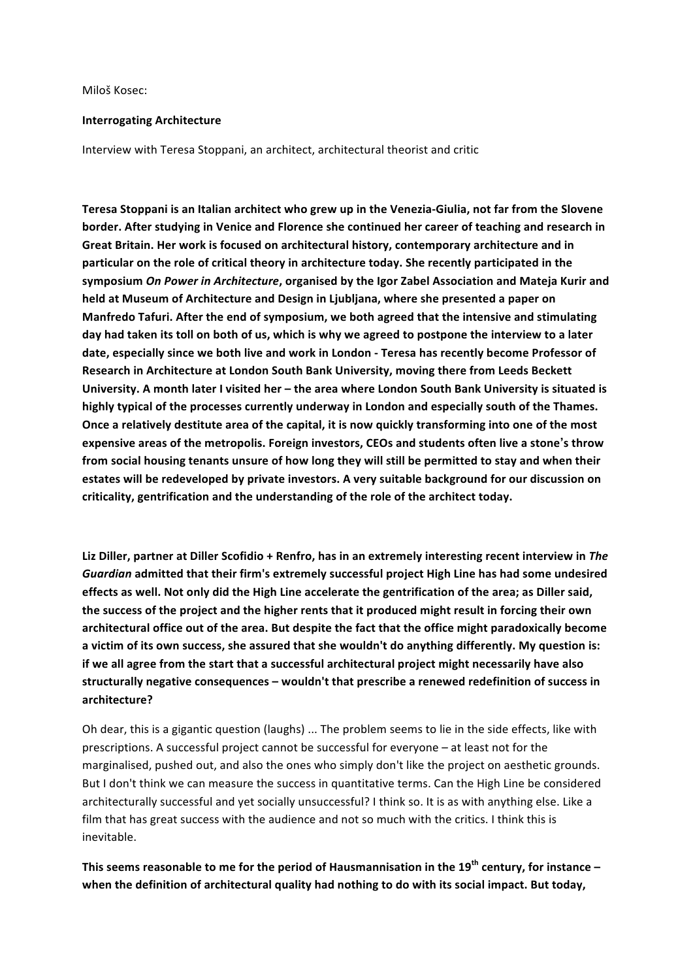Miloš Kosec:

#### **Interrogating Architecture**

Interview with Teresa Stoppani, an architect, architectural theorist and critic

Teresa Stoppani is an Italian architect who grew up in the Venezia-Giulia, not far from the Slovene **border.** After studying in Venice and Florence she continued her career of teaching and research in Great Britain. Her work is focused on architectural history, contemporary architecture and in **particular on the role of critical theory in architecture today. She recently participated in the** symposium On Power in Architecture, organised by the Igor Zabel Association and Mateja Kurir and held at Museum of Architecture and Design in Ljubljana, where she presented a paper on Manfredo Tafuri. After the end of symposium, we both agreed that the intensive and stimulating day had taken its toll on both of us, which is why we agreed to postpone the interview to a later date, especially since we both live and work in London - Teresa has recently become Professor of Research in Architecture at London South Bank University, moving there from Leeds Beckett University. A month later I visited her – the area where London South Bank University is situated is highly typical of the processes currently underway in London and especially south of the Thames. **Once a relatively destitute area of the capital, it is now quickly transforming into one of the most expensive areas of the metropolis. Foreign investors, CEOs and students often live a stone's throw** from social housing tenants unsure of how long they will still be permitted to stay and when their estates will be redeveloped by private investors. A very suitable background for our discussion on criticality, gentrification and the understanding of the role of the architect today.

Liz Diller, partner at Diller Scofidio + Renfro, has in an extremely interesting recent interview in *The* Guardian admitted that their firm's extremely successful project High Line has had some undesired effects as well. Not only did the High Line accelerate the gentrification of the area; as Diller said, the success of the project and the higher rents that it produced might result in forcing their own architectural office out of the area. But despite the fact that the office might paradoxically become a victim of its own success, she assured that she wouldn't do anything differently. My question is: if we all agree from the start that a successful architectural project might necessarily have also structurally negative consequences – wouldn't that prescribe a renewed redefinition of success in **architecture?**

Oh dear, this is a gigantic question (laughs) ... The problem seems to lie in the side effects, like with prescriptions. A successful project cannot be successful for everyone – at least not for the marginalised, pushed out, and also the ones who simply don't like the project on aesthetic grounds. But I don't think we can measure the success in quantitative terms. Can the High Line be considered architecturally successful and yet socially unsuccessful? I think so. It is as with anything else. Like a film that has great success with the audience and not so much with the critics. I think this is inevitable.

This seems reasonable to me for the period of Hausmannisation in the 19<sup>th</sup> century, for instance when the definition of architectural quality had nothing to do with its social impact. But today,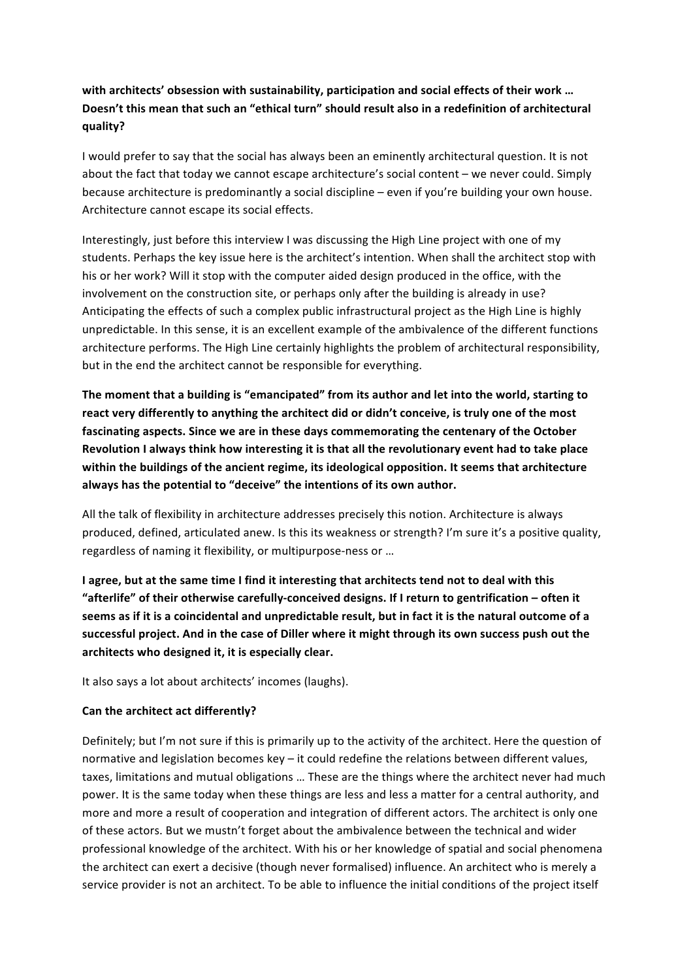# with architects' obsession with sustainability, participation and social effects of their work ... Doesn't this mean that such an "ethical turn" should result also in a redefinition of architectural **quality?**

I would prefer to say that the social has always been an eminently architectural question. It is not about the fact that today we cannot escape architecture's social content – we never could. Simply because architecture is predominantly a social discipline  $-$  even if you're building your own house. Architecture cannot escape its social effects.

Interestingly, just before this interview I was discussing the High Line project with one of my students. Perhaps the key issue here is the architect's intention. When shall the architect stop with his or her work? Will it stop with the computer aided design produced in the office, with the involvement on the construction site, or perhaps only after the building is already in use? Anticipating the effects of such a complex public infrastructural project as the High Line is highly unpredictable. In this sense, it is an excellent example of the ambivalence of the different functions architecture performs. The High Line certainly highlights the problem of architectural responsibility, but in the end the architect cannot be responsible for everything.

The moment that a building is "emancipated" from its author and let into the world, starting to react very differently to anything the architect did or didn't conceive, is truly one of the most fascinating aspects. Since we are in these days commemorating the centenary of the October Revolution I always think how interesting it is that all the revolutionary event had to take place within the buildings of the ancient regime, its ideological opposition. It seems that architecture always has the potential to "deceive" the intentions of its own author.

All the talk of flexibility in architecture addresses precisely this notion. Architecture is always produced, defined, articulated anew. Is this its weakness or strength? I'm sure it's a positive quality, regardless of naming it flexibility, or multipurpose-ness or ...

**I** agree, but at the same time I find it interesting that architects tend not to deal with this "afterlife" of their otherwise carefully-conceived designs. If I return to gentrification - often it seems as if it is a coincidental and unpredictable result, but in fact it is the natural outcome of a successful project. And in the case of Diller where it might through its own success push out the architects who designed it, it is especially clear.

It also says a lot about architects' incomes (laughs).

### **Can the architect act differently?**

Definitely; but I'm not sure if this is primarily up to the activity of the architect. Here the question of normative and legislation becomes key - it could redefine the relations between different values, taxes, limitations and mutual obligations ... These are the things where the architect never had much power. It is the same today when these things are less and less a matter for a central authority, and more and more a result of cooperation and integration of different actors. The architect is only one of these actors. But we mustn't forget about the ambivalence between the technical and wider professional knowledge of the architect. With his or her knowledge of spatial and social phenomena the architect can exert a decisive (though never formalised) influence. An architect who is merely a service provider is not an architect. To be able to influence the initial conditions of the project itself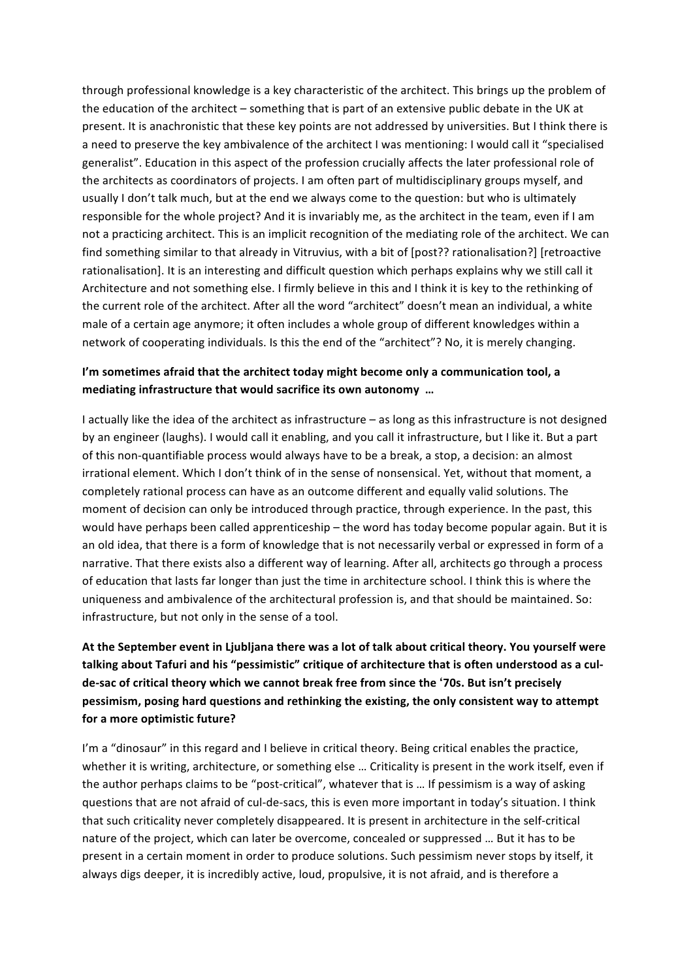through professional knowledge is a key characteristic of the architect. This brings up the problem of the education of the architect - something that is part of an extensive public debate in the UK at present. It is anachronistic that these key points are not addressed by universities. But I think there is a need to preserve the key ambivalence of the architect I was mentioning: I would call it "specialised generalist". Education in this aspect of the profession crucially affects the later professional role of the architects as coordinators of projects. I am often part of multidisciplinary groups myself, and usually I don't talk much, but at the end we always come to the question: but who is ultimately responsible for the whole project? And it is invariably me, as the architect in the team, even if I am not a practicing architect. This is an implicit recognition of the mediating role of the architect. We can find something similar to that already in Vitruvius, with a bit of [post?? rationalisation?] [retroactive rationalisation]. It is an interesting and difficult question which perhaps explains why we still call it Architecture and not something else. I firmly believe in this and I think it is key to the rethinking of the current role of the architect. After all the word "architect" doesn't mean an individual, a white male of a certain age anymore; it often includes a whole group of different knowledges within a network of cooperating individuals. Is this the end of the "architect"? No, it is merely changing.

### **I'm sometimes afraid that the architect today might become only a communication tool, a** mediating infrastructure that would sacrifice its own autonomy ...

I actually like the idea of the architect as infrastructure – as long as this infrastructure is not designed by an engineer (laughs). I would call it enabling, and you call it infrastructure, but I like it. But a part of this non-quantifiable process would always have to be a break, a stop, a decision: an almost irrational element. Which I don't think of in the sense of nonsensical. Yet, without that moment, a completely rational process can have as an outcome different and equally valid solutions. The moment of decision can only be introduced through practice, through experience. In the past, this would have perhaps been called apprenticeship – the word has today become popular again. But it is an old idea, that there is a form of knowledge that is not necessarily verbal or expressed in form of a narrative. That there exists also a different way of learning. After all, architects go through a process of education that lasts far longer than just the time in architecture school. I think this is where the uniqueness and ambivalence of the architectural profession is, and that should be maintained. So: infrastructure, but not only in the sense of a tool.

# At the September event in Ljubljana there was a lot of talk about critical theory. You yourself were talking about Tafuri and his "pessimistic" critique of architecture that is often understood as a culde-sac of critical theory which we cannot break free from since the '70s. But isn't precisely pessimism, posing hard questions and rethinking the existing, the only consistent way to attempt **for a more optimistic future?**

I'm a "dinosaur" in this regard and I believe in critical theory. Being critical enables the practice, whether it is writing, architecture, or something else ... Criticality is present in the work itself, even if the author perhaps claims to be "post-critical", whatever that is ... If pessimism is a way of asking questions that are not afraid of cul-de-sacs, this is even more important in today's situation. I think that such criticality never completely disappeared. It is present in architecture in the self-critical nature of the project, which can later be overcome, concealed or suppressed ... But it has to be present in a certain moment in order to produce solutions. Such pessimism never stops by itself, it always digs deeper, it is incredibly active, loud, propulsive, it is not afraid, and is therefore a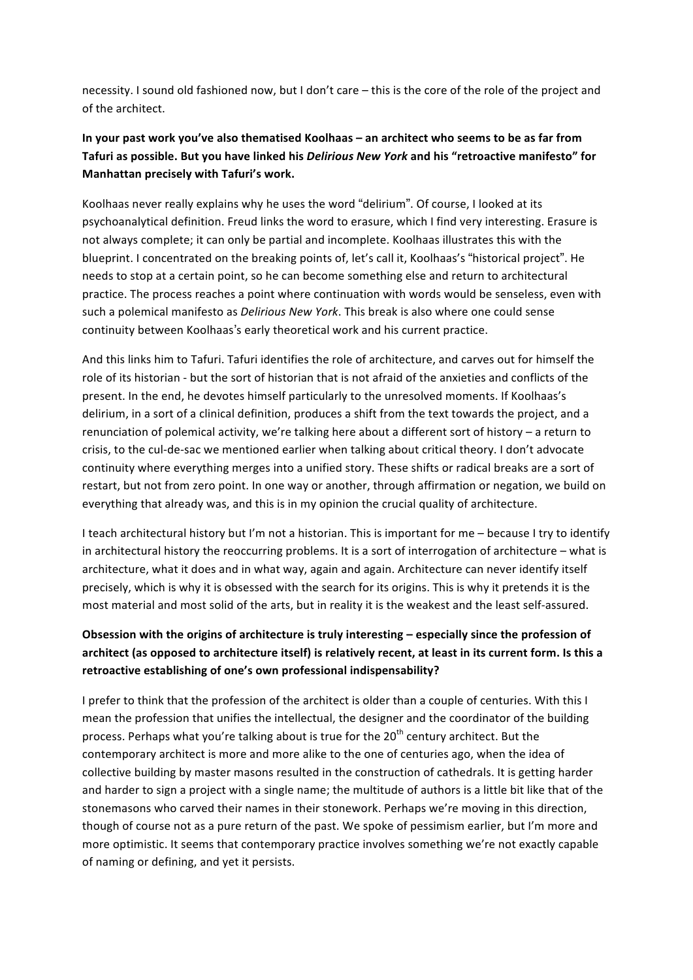necessity. I sound old fashioned now, but I don't care – this is the core of the role of the project and of the architect.

### In your past work you've also thematised Koolhaas – an architect who seems to be as far from **Tafuri as possible. But you have linked his** *Delirious New York* **and his "retroactive manifesto" for Manhattan precisely with Tafuri's work.**

Koolhaas never really explains why he uses the word "delirium". Of course, I looked at its psychoanalytical definition. Freud links the word to erasure, which I find very interesting. Erasure is not always complete; it can only be partial and incomplete. Koolhaas illustrates this with the blueprint. I concentrated on the breaking points of, let's call it, Koolhaas's "historical project". He needs to stop at a certain point, so he can become something else and return to architectural practice. The process reaches a point where continuation with words would be senseless, even with such a polemical manifesto as *Delirious New York*. This break is also where one could sense continuity between Koolhaas's early theoretical work and his current practice.

And this links him to Tafuri. Tafuri identifies the role of architecture, and carves out for himself the role of its historian - but the sort of historian that is not afraid of the anxieties and conflicts of the present. In the end, he devotes himself particularly to the unresolved moments. If Koolhaas's delirium, in a sort of a clinical definition, produces a shift from the text towards the project, and a renunciation of polemical activity, we're talking here about a different sort of history – a return to crisis, to the cul-de-sac we mentioned earlier when talking about critical theory. I don't advocate continuity where everything merges into a unified story. These shifts or radical breaks are a sort of restart, but not from zero point. In one way or another, through affirmation or negation, we build on everything that already was, and this is in my opinion the crucial quality of architecture.

I teach architectural history but I'm not a historian. This is important for me - because I try to identify in architectural history the reoccurring problems. It is a sort of interrogation of architecture  $-$  what is architecture, what it does and in what way, again and again. Architecture can never identify itself precisely, which is why it is obsessed with the search for its origins. This is why it pretends it is the most material and most solid of the arts, but in reality it is the weakest and the least self-assured.

# Obsession with the origins of architecture is truly interesting – especially since the profession of architect (as opposed to architecture itself) is relatively recent, at least in its current form. Is this a **retroactive establishing of one's own professional indispensability?**

I prefer to think that the profession of the architect is older than a couple of centuries. With this I mean the profession that unifies the intellectual, the designer and the coordinator of the building process. Perhaps what you're talking about is true for the 20<sup>th</sup> century architect. But the contemporary architect is more and more alike to the one of centuries ago, when the idea of collective building by master masons resulted in the construction of cathedrals. It is getting harder and harder to sign a project with a single name; the multitude of authors is a little bit like that of the stonemasons who carved their names in their stonework. Perhaps we're moving in this direction, though of course not as a pure return of the past. We spoke of pessimism earlier, but I'm more and more optimistic. It seems that contemporary practice involves something we're not exactly capable of naming or defining, and yet it persists.